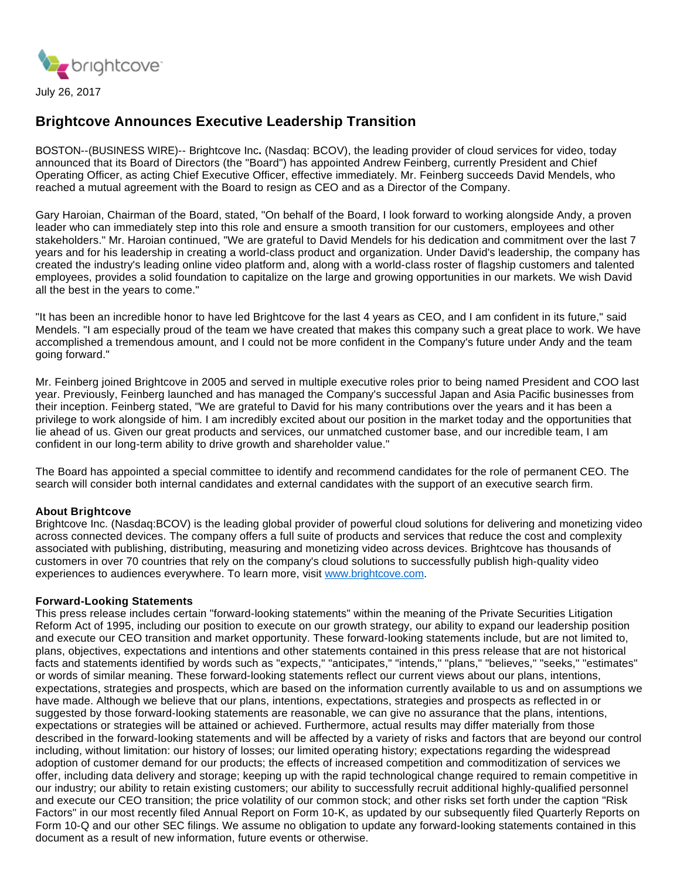

## **Brightcove Announces Executive Leadership Transition**

BOSTON--(BUSINESS WIRE)-- Brightcove Inc**.** (Nasdaq: BCOV), the leading provider of cloud services for video, today announced that its Board of Directors (the "Board") has appointed Andrew Feinberg, currently President and Chief Operating Officer, as acting Chief Executive Officer, effective immediately. Mr. Feinberg succeeds David Mendels, who reached a mutual agreement with the Board to resign as CEO and as a Director of the Company.

Gary Haroian, Chairman of the Board, stated, "On behalf of the Board, I look forward to working alongside Andy, a proven leader who can immediately step into this role and ensure a smooth transition for our customers, employees and other stakeholders." Mr. Haroian continued, "We are grateful to David Mendels for his dedication and commitment over the last 7 years and for his leadership in creating a world-class product and organization. Under David's leadership, the company has created the industry's leading online video platform and, along with a world-class roster of flagship customers and talented employees, provides a solid foundation to capitalize on the large and growing opportunities in our markets. We wish David all the best in the years to come."

"It has been an incredible honor to have led Brightcove for the last 4 years as CEO, and I am confident in its future," said Mendels. "I am especially proud of the team we have created that makes this company such a great place to work. We have accomplished a tremendous amount, and I could not be more confident in the Company's future under Andy and the team going forward."

Mr. Feinberg joined Brightcove in 2005 and served in multiple executive roles prior to being named President and COO last year. Previously, Feinberg launched and has managed the Company's successful Japan and Asia Pacific businesses from their inception. Feinberg stated, "We are grateful to David for his many contributions over the years and it has been a privilege to work alongside of him. I am incredibly excited about our position in the market today and the opportunities that lie ahead of us. Given our great products and services, our unmatched customer base, and our incredible team, I am confident in our long-term ability to drive growth and shareholder value."

The Board has appointed a special committee to identify and recommend candidates for the role of permanent CEO. The search will consider both internal candidates and external candidates with the support of an executive search firm.

## **About Brightcove**

Brightcove Inc. (Nasdaq:BCOV) is the leading global provider of powerful cloud solutions for delivering and monetizing video across connected devices. The company offers a full suite of products and services that reduce the cost and complexity associated with publishing, distributing, measuring and monetizing video across devices. Brightcove has thousands of customers in over 70 countries that rely on the company's cloud solutions to successfully publish high-quality video experiences to audiences everywhere. To learn more, visit [www.brightcove.com.](http://cts.businesswire.com/ct/CT?id=smartlink&url=http%3A%2F%2Fwww.brightcove.com&esheet=51597164&newsitemid=20170726006156&lan=en-US&anchor=www.brightcove.com&index=1&md5=10257883c249295bfa817a70b46ff2b4)

## **Forward-Looking Statements**

This press release includes certain "forward-looking statements" within the meaning of the Private Securities Litigation Reform Act of 1995, including our position to execute on our growth strategy, our ability to expand our leadership position and execute our CEO transition and market opportunity. These forward-looking statements include, but are not limited to, plans, objectives, expectations and intentions and other statements contained in this press release that are not historical facts and statements identified by words such as "expects," "anticipates," "intends," "plans," "believes," "seeks," "estimates" or words of similar meaning. These forward-looking statements reflect our current views about our plans, intentions, expectations, strategies and prospects, which are based on the information currently available to us and on assumptions we have made. Although we believe that our plans, intentions, expectations, strategies and prospects as reflected in or suggested by those forward-looking statements are reasonable, we can give no assurance that the plans, intentions, expectations or strategies will be attained or achieved. Furthermore, actual results may differ materially from those described in the forward-looking statements and will be affected by a variety of risks and factors that are beyond our control including, without limitation: our history of losses; our limited operating history; expectations regarding the widespread adoption of customer demand for our products; the effects of increased competition and commoditization of services we offer, including data delivery and storage; keeping up with the rapid technological change required to remain competitive in our industry; our ability to retain existing customers; our ability to successfully recruit additional highly-qualified personnel and execute our CEO transition; the price volatility of our common stock; and other risks set forth under the caption "Risk Factors" in our most recently filed Annual Report on Form 10-K, as updated by our subsequently filed Quarterly Reports on Form 10-Q and our other SEC filings. We assume no obligation to update any forward-looking statements contained in this document as a result of new information, future events or otherwise.